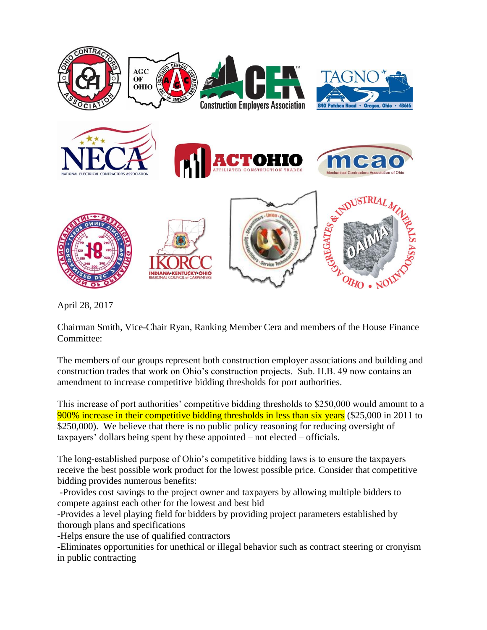

April 28, 2017

Chairman Smith, Vice-Chair Ryan, Ranking Member Cera and members of the House Finance Committee:

The members of our groups represent both construction employer associations and building and construction trades that work on Ohio's construction projects. Sub. H.B. 49 now contains an amendment to increase competitive bidding thresholds for port authorities.

This increase of port authorities' competitive bidding thresholds to \$250,000 would amount to a 900% increase in their competitive bidding thresholds in less than six years (\$25,000 in 2011 to \$250,000). We believe that there is no public policy reasoning for reducing oversight of taxpayers' dollars being spent by these appointed – not elected – officials.

The long-established purpose of Ohio's competitive bidding laws is to ensure the taxpayers receive the best possible work product for the lowest possible price. Consider that competitive bidding provides numerous benefits:

-Provides cost savings to the project owner and taxpayers by allowing multiple bidders to compete against each other for the lowest and best bid

-Provides a level playing field for bidders by providing project parameters established by thorough plans and specifications

-Helps ensure the use of qualified contractors

-Eliminates opportunities for unethical or illegal behavior such as contract steering or cronyism in public contracting